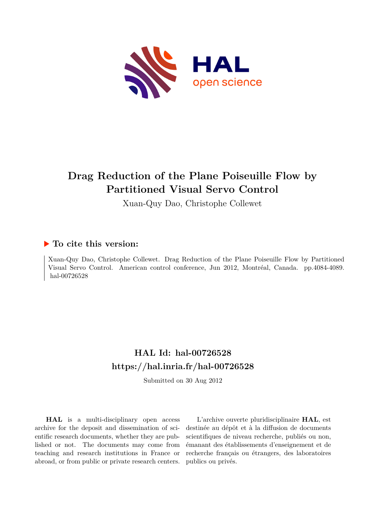

# **Drag Reduction of the Plane Poiseuille Flow by Partitioned Visual Servo Control**

Xuan-Quy Dao, Christophe Collewet

# **To cite this version:**

Xuan-Quy Dao, Christophe Collewet. Drag Reduction of the Plane Poiseuille Flow by Partitioned Visual Servo Control. American control conference, Jun 2012, Montréal, Canada. pp.4084-4089. hal-00726528

# **HAL Id: hal-00726528 <https://hal.inria.fr/hal-00726528>**

Submitted on 30 Aug 2012

**HAL** is a multi-disciplinary open access archive for the deposit and dissemination of scientific research documents, whether they are published or not. The documents may come from teaching and research institutions in France or abroad, or from public or private research centers.

L'archive ouverte pluridisciplinaire **HAL**, est destinée au dépôt et à la diffusion de documents scientifiques de niveau recherche, publiés ou non, émanant des établissements d'enseignement et de recherche français ou étrangers, des laboratoires publics ou privés.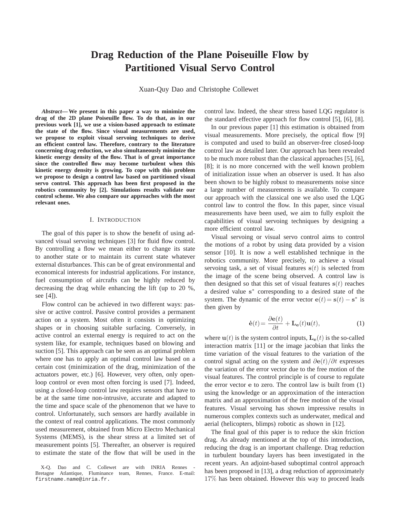# **Drag Reduction of the Plane Poiseuille Flow by Partitioned Visual Servo Control**

Xuan-Quy Dao and Christophe Collewet

*Abstract***— We present in this paper a way to minimize the drag of the 2D plane Poiseuille flow. To do that, as in our previous work [1], we use a vision-based approach to estimate the state of the flow. Since visual measurements are used, we propose to exploit visual servoing techniques to derive an efficient control law. Therefore, contrary to the literature concerning drag reduction, we also simultaneously minimize the kinetic energy density of the flow. That is of great importance since the controlled flow may become turbulent when this kinetic energy density is growing. To cope with this problem we propose to design a control law based on partitioned visual servo control. This approach has been first proposed in the robotics community by [2]. Simulations results validate our control scheme. We also compare our approaches with the most relevant ones.**

# I. INTRODUCTION

The goal of this paper is to show the benefit of using advanced visual servoing techniques [3] for fluid flow control. By controlling a flow we mean either to change its state to another state or to maintain its current state whatever external disturbances. This can be of great environmental and economical interests for industrial applications. For instance, fuel consumption of aircrafts can be highly reduced by decreasing the drag while enhancing the lift (up to 20 %, see [4]).

Flow control can be achieved in two different ways: passive or active control. Passive control provides a permanent action on a system. Most often it consists in optimizing shapes or in choosing suitable surfacing. Conversely, in active control an external energy is required to act on the system like, for example, techniques based on blowing and suction [5]. This approach can be seen as an optimal problem where one has to apply an optimal control law based on a certain cost (minimization of the drag, minimization of the actuators power, etc.) [6]. However, very often, only openloop control or even most often forcing is used [7]. Indeed, using a closed-loop control law requires sensors that have to be at the same time non-intrusive, accurate and adapted to the time and space scale of the phenomenon that we have to control. Unfortunately, such sensors are hardly available in the context of real control applications. The most commonly used measurement, obtained from Micro Electro Mechanical Systems (MEMS), is the shear stress at a limited set of measurement points [5]. Thereafter, an observer is required to estimate the state of the flow that will be used in the

control law. Indeed, the shear stress based LQG regulator is the standard effective approach for flow control [5], [6], [8].

In our previous paper [1] this estimation is obtained from visual measurements. More precisely, the optical flow [9] is computed and used to build an observer-free closed-loop control law as detailed later. Our approach has been revealed to be much more robust than the classical approaches [5], [6], [8]; it is no more concerned with the well known problem of initialization issue when an observer is used. It has also been shown to be highly robust to measurements noise since a large number of measurements is available. To compare our approach with the classical one we also used the LQG control law to control the flow. In this paper, since visual measurements have been used, we aim to fully exploit the capabilities of visual servoing techniques by designing a more efficient control law.

Visual servoing or visual servo control aims to control the motions of a robot by using data provided by a vision sensor [10]. It is now a well established technique in the robotics community. More precisely, to achieve a visual servoing task, a set of visual features  $s(t)$  is selected from the image of the scene being observed. A control law is then designed so that this set of visual features  $s(t)$  reaches a desired value s<sup>\*</sup> corresponding to a desired state of the system. The dynamic of the error vector  $e(t) = s(t) - s^*$  is then given by

$$
\dot{\mathbf{e}}(t) = \frac{\partial \mathbf{e}(t)}{\partial t} + \mathbf{L}_{\mathbf{e}}(t)\mathbf{u}(t),
$$
 (1)

where  $\mathbf{u}(t)$  is the system control inputs,  $\mathbf{L}_{e}(t)$  is the so-called interaction matrix [11] or the image jacobian that links the time variation of the visual features to the variation of the control signal acting on the system and  $\partial$ e(t)/ $\partial t$  expresses the variation of the error vector due to the free motion of the visual features. The control principle is of course to regulate the error vector e to zero. The control law is built from (1) using the knowledge or an approximation of the interaction matrix and an approximation of the free motion of the visual features. Visual servoing has shown impressive results in numerous complex contexts such as underwater, medical and aerial (helicopters, blimps) robotic as shown in [12].

The final goal of this paper is to reduce the skin friction drag. As already mentioned at the top of this introduction, reducing the drag is an important challenge. Drag reduction in turbulent boundary layers has been investigated in the recent years. An adjoint-based suboptimal control approach has been proposed in [13], a drag reduction of approximately 17% has been obtained. However this way to proceed leads

X-Q. Dao and C. Collewet are with INRIA Rennes Bretagne Atlantique, Fluminance team, Rennes, France. E-mail: firstname.name@inria.fr.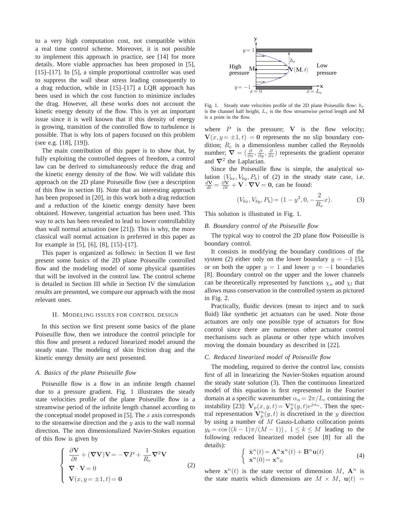to a very high computation cost, not compatible within a real time control scheme. Moreover, it is not possible to implement this approach in practice, see [14] for more details. More viable approaches has been proposed in [5], [15]–[17]. In [5], a simple proportional controller was used to suppress the wall shear stress leading consequently to a drag reduction, while in [15]–[17] a LQR approach has been used in which the cost function to minimize includes the drag. However, all these works does not account the kinetic energy density of the flow. This is yet an important issue since it is well known that if this density of energy is growing, transition of the controlled flow to turbulence is possible. That is why lots of papers focused on this problem (see e.g. [18], [19]).

The main contribution of this paper is to show that, by fully exploiting the controlled degrees of freedom, a control law can be derived to simultaneously reduce the drag and the kinetic energy density of the flow. We will validate this approach on the 2D plane Poiseuille flow (see a description of this flow in section II). Note that an interesting approach has been proposed in [20], in this work both a drag reduction and a reduction of the kinetic energy density have been obtained. However, tangential actuation has been used. This way to acts has been revealed to lead to lower controllability than wall normal actuation (see [21]). This is why, the more classical wall normal actuation is preferred in this paper as for example in [5], [6], [8], [15]–[17].

This paper is organized as follows: in Section II we first present some basics of the 2D plane Poiseuille controlled flow and the modeling model of some physical quantities that will be involved in the control law. The control scheme is detailed in Section III while in Section IV the simulation results are presented, we compare our approach with the most relevant ones.

# II. MODELING ISSUES FOR CONTROL DESIGN

In this section we first present some basics of the plane Poiseuille flow, then we introduce the control principle for this flow and present a reduced linearized model around the steady state. The modeling of skin friction drag and the kinetic energy density are next presented.

## *A. Basics of the plane Poiseuille flow*

Poiseuille flow is a flow in an infinite length channel due to a pressure gradient. Fig. 1 illustrates the steady state velocities profile of the plane Poiseuille flow in a streamwise period of the infinite length channel according to the conceptual model proposed in [5]. The  $x$  axis corresponds to the streamwise direction and the  $y$  axis to the wall normal direction. The non dimensionalized Navier-Stokes equation of this flow is given by

$$
\begin{cases}\n\frac{\partial \mathbf{V}}{\partial t} + (\nabla \mathbf{V})\mathbf{V} = -\nabla P + \frac{1}{R_e} \nabla^2 \mathbf{V} \\
\nabla \cdot \mathbf{V} = 0 \\
\mathbf{V}(x, y = \pm 1, t) = \mathbf{0}\n\end{cases}
$$
\n(2)



Fig. 1. Steady state velocities profile of the 2D plane Poiseuille flow:  $h_c$ is the channel half height,  $L_c$  is the flow streamwise period length and M is a point in the flow.

where  $P$  is the pressure;  $V$  is the flow velocity;  $V(x, y = \pm 1, t) = 0$  represents the no slip boundary condition;  $R_e$  is a dimensionless number called the Reynolds number;  $\nabla = (\frac{\partial}{\partial x}, \frac{\partial}{\partial y}, \frac{\partial}{\partial z})$  represents the gradient operator and  $\nabla^2$  the Laplacian.

Since the Poiseuille flow is simple, the analytical solution  $(V_{bx}, V_{by}, P_b)$  of (2) in the steady state case, i.e.  $\frac{d\mathbf{V}}{dt} = \frac{\partial \mathbf{V}}{\partial t} + \mathbf{V} \cdot \nabla \mathbf{V} = \mathbf{0}$ , can be found:

$$
(V_{bx}, V_{by}, P_b) = (1 - y^2, 0, -\frac{2}{R_e}x). \tag{3}
$$

This solution is illustrated in Fig. 1.

# *B. Boundary control of the Poiseuille flow*

The typical way to control the 2D plane flow Poiseuille is boundary control.

It consists in modifying the boundary conditions of the system (2) either only on the lower boundary  $y = -1$  [5], or on both the upper  $y = 1$  and lower  $y = -1$  boundaries [8]. Boundary control on the upper and the lower channels can be theoretically represented by functions  $\chi_u$  and  $\chi_l$  that allows mass conservation in the controlled system as pictured in Fig. 2.

Practically, fluidic devices (mean to inject and to suck fluid) like synthetic jet actuators can be used. Note those actuators are only one possible type of actuators for flow control since there are numerous other actuator control mechanisms such as plasma or other type which involves moving the domain boundary as described in [22].

## *C. Reduced linearized model of Poiseuille flow*

The modeling, required to derive the control law, consists first of all in linearizing the Navier-Stokes equation around the steady state solution (3). Then the continuous linearized model of this equation is first represented in the Fourier domain at a specific wavenumber  $\alpha_n = 2\pi/L_c$  containing the instability [23]:  $\mathbf{V}_p(x, y, t) = \mathbf{V}_p^n(y, t) e^{j \alpha_n}$ . Then the spectral representation  $V_p^n(y, t)$  is discretised in the y direction by using a number of M Gauss-Lobatto collocation points  $y_k = \cos((k-1)\pi/(M-1))$ ,  $1 \le k \le M$  leading to the following reduced linearized model (see [8] for all the details):

$$
\begin{cases} \dot{\mathbf{x}}^n(t) = \mathbf{A}^n \mathbf{x}^n(t) + \mathbf{B}^n \mathbf{u}(t) \\ \mathbf{x}^n(0) = \mathbf{x}^n_0 \end{cases}
$$
 (4)

where  $x^n(t)$  is the state vector of dimension M,  $A^n$  is the state matrix which dimensions are  $M \times M$ ,  $u(t)$  =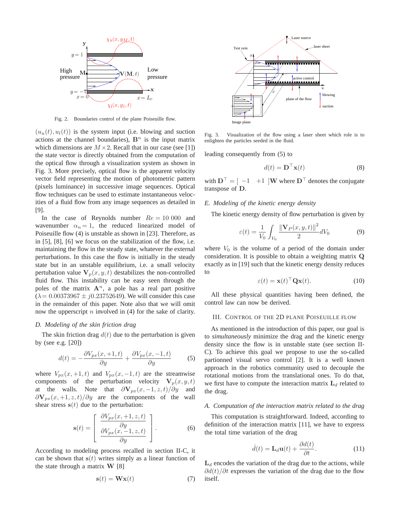

Fig. 2. Boundaries control of the plane Poiseuille flow.

 $(u<sub>u</sub>(t), u<sub>l</sub>(t))$  is the system input (i.e. blowing and suction actions at the channel boundaries),  $B<sup>n</sup>$  is the input matrix which dimensions are  $M \times 2$ . Recall that in our case (see [1]) the state vector is directly obtained from the computation of the optical flow through a visualization system as shown in Fig. 3. More precisely, optical flow is the apparent velocity vector field representing the motion of photometric pattern (pixels luminance) in successive image sequences. Optical flow techniques can be used to estimate instantaneous velocities of a fluid flow from any image sequences as detailed in [9].

In the case of Reynolds number  $Re = 10000$  and wavenumber  $\alpha_n = 1$ , the reduced linearized model of Poiseuille flow (4) is unstable as shown in [23]. Therefore, as in [5], [8], [6] we focus on the stabilization of the flow, i.e. maintaining the flow in the steady state, whatever the external perturbations. In this case the flow is initially in the steady state but in an unstable equilibrium, i.e. a small velocity pertubation value  $V_p(x, y, t)$  destabilizes the non-controlled fluid flow. This instability can be easy seen through the poles of the matrix  $A^n$ , a pole has a real part positive  $(\lambda = 0.00373967 \pm i0.23752649)$ . We will consider this case in the remainder of this paper. Note also that we will omit now the upperscript  $n$  involved in (4) for the sake of clarity.

# *D. Modeling of the skin friction drag*

The skin friction drag  $d(t)$  due to the perturbation is given by (see e.g. [20])

$$
d(t) = -\frac{\partial V_{px}(x, +1, t)}{\partial y} + \frac{\partial V_{px}(x, -1, t)}{\partial y} \tag{5}
$$

where  $V_{px}(x, +1, t)$  and  $V_{px}(x, -1, t)$  are the streamwise components of the perturbation velocity  $V_p(x, y, t)$ at the walls. Note that  $\partial \mathbf{V}_{px}(x, -1, z, t)/\partial y$  and  $\partial \mathbf{V}_{px}(x, +1, z, t) / \partial y$  are the components of the wall shear stress  $s(t)$  due to the perturbation:

$$
\mathbf{s}(t) = \begin{bmatrix} \frac{\partial V_{px}(x, +1, z, t)}{\partial y} \\ \frac{\partial V_{px}(x, -1, z, t)}{\partial y} \end{bmatrix}.
$$
 (6)

According to modeling process recalled in section II-C, it can be shown that  $s(t)$  writes simply as a linear function of the state through a matrix  $W$  [8]

$$
\mathbf{s}(t) = \mathbf{W}\mathbf{x}(t) \tag{7}
$$



Fig. 3. Visualization of the flow using a laser sheet which role is to enlighten the particles seeded in the fluid.

leading consequently from (5) to

$$
d(t) = \mathbf{D}^{\top} \mathbf{x}(t)
$$
 (8)

with  $\mathbf{D}^{\top} = \begin{bmatrix} -1 \\ +1 \end{bmatrix} \mathbf{W}$  where  $\mathbf{D}^{\top}$  denotes the conjugate transpose of D.

## *E. Modeling of the kinetic energy density*

The kinetic energy density of flow perturbation is given by

$$
\varepsilon(t) = \frac{1}{V_0} \int_{V_0} \frac{\left\| \mathbf{V}_P(x, y, t) \right\|^2}{2} dV_0 \tag{9}
$$

where  $V_0$  is the volume of a period of the domain under consideration. It is possible to obtain a weighting matrix Q exactly as in [19] such that the kinetic energy density reduces to

$$
\varepsilon(t) = \mathbf{x}(t)^\top \mathbf{Q} \mathbf{x}(t). \tag{10}
$$

All these physical quantities having been defined, the control law can now be derived.

### III. CONTROL OF THE 2D PLANE POISEUILLE FLOW

As mentioned in the introduction of this paper, our goal is to *simultaneously* minimize the drag and the kinetic energy density since the flow is in unstable state (see section II-C). To achieve this goal we propose to use the so-called partionned visual servo control [2]. It is a well known approach in the robotics community used to decouple the rotational motions from the translational ones. To do that, we first have to compute the interaction matrix  $L_d$  related to the drag.

# *A. Computation of the interaction matrix related to the drag*

This computation is straightforward. Indeed, according to definition of the interaction matrix [11], we have to express the total time variation of the drag

$$
\dot{d}(t) = \mathbf{L}_d \mathbf{u}(t) + \frac{\partial d(t)}{\partial t}.
$$
 (11)

 $L_d$  encodes the variation of the drag due to the actions, while  $\partial d(t)/\partial t$  expresses the variation of the drag due to the flow itself.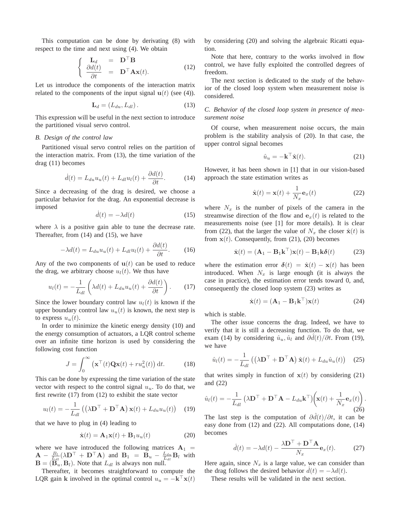This computation can be done by derivating (8) with respect to the time and next using (4). We obtain

$$
\begin{cases}\n\mathbf{L}_d = \mathbf{D}^\top \mathbf{B} \\
\frac{\partial d(t)}{\partial t} = \mathbf{D}^\top \mathbf{A} \mathbf{x}(t).\n\end{cases}
$$
\n(12)

Let us introduce the components of the interaction matrix related to the components of the input signal  $u(t)$  (see (4)).

$$
\mathbf{L}_d = (L_{du}, L_{dl}). \tag{13}
$$

This expression will be useful in the next section to introduce the partitioned visual servo control.

# *B. Design of the control law*

Partitioned visual servo control relies on the partition of the interaction matrix. From (13), the time variation of the drag (11) becomes

$$
\dot{d}(t) = L_{du} u_u(t) + L_{dl} u_l(t) + \frac{\partial d(t)}{\partial t}.
$$
 (14)

Since a decreasing of the drag is desired, we choose a particular behavior for the drag. An exponential decrease is imposed

$$
\dot{d}(t) = -\lambda d(t) \tag{15}
$$

where  $\lambda$  is a positive gain able to tune the decrease rate. Thereafter, from (14) and (15), we have

$$
-\lambda d(t) = L_{du} u_u(t) + L_{dl} u_l(t) + \frac{\partial d(t)}{\partial t}.
$$
 (16)

Any of the two components of  $u(t)$  can be used to reduce the drag, we arbitrary choose  $u_l(t)$ . We thus have

$$
u_l(t) = -\frac{1}{L_{dl}} \left( \lambda d(t) + L_{du} u_u(t) + \frac{\partial d(t)}{\partial t} \right).
$$
 (17)

Since the lower boundary control law  $u_l(t)$  is known if the upper boundary control law  $u<sub>u</sub>(t)$  is known, the next step is to express  $u<sub>u</sub>(t)$ .

In order to minimize the kinetic energy density (10) and the energy consumption of actuators, a LQR control scheme over an infinite time horizon is used by considering the following cost function

$$
J = \int_0^\infty \left( \mathbf{x}^\top(t) \mathbf{Q} \mathbf{x}(t) + r u_u^2(t) \right) dt.
$$
 (18)

This can be done by expressing the time variation of the state vector with respect to the control signal  $u<sub>u</sub>$ . To do that, we first rewrite (17) from (12) to exhibit the state vector

$$
u_l(t) = -\frac{1}{L_{dl}} \left( \left( \lambda \mathbf{D}^\top + \mathbf{D}^\top \mathbf{A} \right) \mathbf{x}(t) + L_{du} u_u(t) \right) \tag{19}
$$

that we have to plug in (4) leading to

$$
\dot{\mathbf{x}}(t) = \mathbf{A}_1 \mathbf{x}(t) + \mathbf{B}_1 u_u(t) \tag{20}
$$

where we have introduced the following matrices  $A_1$  =  $\mathbf{A} - \frac{B_l}{L_{dl}} (\lambda \mathbf{D}^\top + \mathbf{D}^\top \mathbf{A})$  and  $\mathbf{B}_1 = \mathbf{B}_u - \frac{L_{du}}{L_{dl}} \mathbf{B}_l$  with  $\mathbf{B} = (\mathbf{B}_u, \mathbf{B}_l)$ . Note that  $L_{dl}$  is always non null.

Thereafter, it becomes straightforward to compute the LQR gain k involved in the optimal control  $u_u = -\mathbf{k}^\top \mathbf{x}(t)$ 

by considering (20) and solving the algebraic Ricatti equation.

Note that here, contrary to the works involved in flow control, we have fully exploited the controlled degrees of freedom.

The next section is dedicated to the study of the behavior of the closed loop system when measurement noise is considered.

*C. Behavior of the closed loop system in presence of measurement noise*

Of course, when measurement noise occurs, the main problem is the stability analysis of (20). In that case, the upper control signal becomes

$$
\hat{u}_u = -\mathbf{k}^\top \hat{\mathbf{x}}(t). \tag{21}
$$

However, it has been shown in [1] that in our vision-based approach the state estimation writes as

$$
\hat{\mathbf{x}}(t) = \mathbf{x}(t) + \frac{1}{N_x} \mathbf{e}_x(t)
$$
\n(22)

where  $N_x$  is the number of pixels of the camera in the streamwise direction of the flow and  $e_x(t)$  is related to the measurements noise (see [1] for more details). It is clear from (22), that the larger the value of  $N_x$  the closer  $\hat{\mathbf{x}}(t)$  is from  $x(t)$ . Consequently, from (21), (20) becomes

$$
\dot{\mathbf{x}}(t) = (\mathbf{A}_1 - \mathbf{B}_1 \mathbf{k}^\top) \mathbf{x}(t) - \mathbf{B}_1 \mathbf{k} \delta(t) \tag{23}
$$

where the estimation error  $\delta(t) = \hat{\mathbf{x}}(t) - \mathbf{x}(t)$  has been introduced. When  $N_x$  is large enough (it is always the case in practice), the estimation error tends toward 0, and, consequently the closed loop system (23) writes as

$$
\dot{\mathbf{x}}(t) = (\mathbf{A}_1 - \mathbf{B}_1 \mathbf{k}^\top) \mathbf{x}(t)
$$
 (24)

which is stable.

The other issue concerns the drag. Indeed, we have to verify that it is still a decreasing function. To do that, we exam (14) by considering  $\hat{u}_u, \hat{u}_l$  and  $\partial \hat{d}(t)/\partial t$ . From (19), we have

$$
\hat{u}_l(t) = -\frac{1}{L_{dl}} \left( \left( \lambda \mathbf{D}^\top + \mathbf{D}^\top \mathbf{A} \right) \hat{\mathbf{x}}(t) + L_{du} \hat{u}_u(t) \right) \quad (25)
$$

that writes simply in function of  $x(t)$  by considering (21) and (22)

$$
\hat{u}_l(t) = -\frac{1}{L_{dl}} \left( \lambda \mathbf{D}^\top + \mathbf{D}^\top \mathbf{A} - L_{du} \mathbf{k}^\top \right) \left( \mathbf{x}(t) + \frac{1}{N_x} \mathbf{e}_x(t) \right).
$$
\n(26)

The last step is the computation of  $\frac{\partial \hat{d}(t)}{\partial t}$ , it can be easy done from (12) and (22). All computations done, (14) becomes

$$
\dot{d}(t) = -\lambda d(t) - \frac{\lambda \mathbf{D}^{\top} + \mathbf{D}^{\top} \mathbf{A}}{N_x} \mathbf{e}_x(t).
$$
 (27)

Here again, since  $N_x$  is a large value, we can consider than the drag follows the desired behavior  $\dot{d}(t) = -\lambda d(t)$ .

These results will be validated in the next section.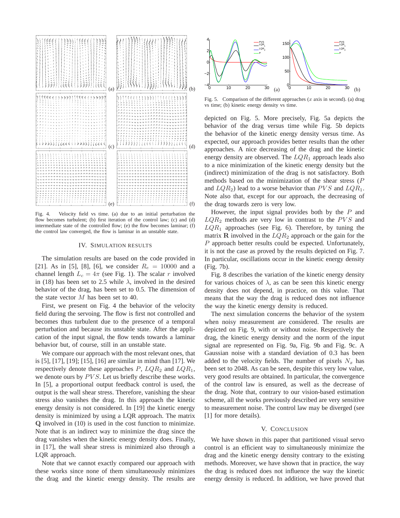

Fig. 4. Velocity field vs time. (a) due to an initial perturbation the flow becomes turbulent; (b) first iteration of the control law; (c) and (d) intermediate state of the controlled flow; (e) the flow becomes laminar; (f) the control law converged, the flow is laminar in an unstable state.

#### IV. SIMULATION RESULTS

The simulation results are based on the code provided in [21]. As in [5], [8], [6], we consider  $R_e = 10000$  and a channel length  $L_c = 4\pi$  (see Fig. 1). The scalar r involved in (18) has been set to 2.5 while  $\lambda$ , involved in the desired behavior of the drag, has been set to 0.5. The dimension of the state vector M has been set to 40.

First, we present on Fig. 4 the behavior of the velocity field during the servoing. The flow is first not controlled and becomes thus turbulent due to the presence of a temporal perturbation and because its unstable state. After the application of the input signal, the flow tends towards a laminar behavior but, of course, still in an unstable state.

We compare our approach with the most relevant ones, that is [5], [17], [19]; [15], [16] are similar in mind than [17]. We respectively denote these approaches  $P$ ,  $LQR_2$  and  $LQR_1$ , we denote ours by  $PVS$ . Let us briefly describe these works. In [5], a proportional output feedback control is used, the output is the wall shear stress. Therefore, vanishing the shear stress also vanishes the drag. In this approach the kinetic energy density is not considered. In [19] the kinetic energy density is minimized by using a LQR approach. The matrix Q involved in (10) is used in the cost function to minimize. Note that is an indirect way to minimize the drag since the drag vanishes when the kinetic energy density does. Finally, in [17], the wall shear stress is minimized also through a LQR approach.

Note that we cannot exactly compared our approach with these works since none of them simultaneously minimizes the drag and the kinetic energy density. The results are



Fig. 5. Comparison of the different approaches  $(x \text{ axis in second})$ . (a) drag vs time; (b) kinetic energy density vs time.

depicted on Fig. 5. More precisely, Fig. 5a depicts the behavior of the drag versus time while Fig. 5b depicts the behavior of the kinetic energy density versus time. As expected, our approach provides better results than the other approaches. A nice decreasing of the drag and the kinetic energy density are observed. The  $LQR_1$  approach leads also to a nice minimization of the kinetic energy density but the (indirect) minimization of the drag is not satisfactory. Both methods based on the minimization of the shear stress  $(P)$ and  $LQR_2$ ) lead to a worse behavior than  $PVS$  and  $LQR_1$ . Note also that, except for our approach, the decreasing of the drag towards zero is very low.

However, the input signal provides both by the  $P$  and  $LQR_2$  methods are very low in contrast to the PVS and  $LQR_1$  approaches (see Fig. 6). Therefore, by tuning the matrix **R** involved in the  $LQR_2$  approach or the gain for the P approach better results could be expected. Unfortunately, it is not the case as proved by the results depicted on Fig. 7. In particular, oscillations occur in the kinetic energy density (Fig. 7b).

Fig. 8 describes the variation of the kinetic energy density for various choices of  $\lambda$ , as can be seen this kinetic energy density does not depend, in practice, on this value. That means that the way the drag is reduced does not influence the way the kinetic energy density is reduced.

The next simulation concerns the behavior of the system when noisy measurement are considered. The results are depicted on Fig. 9, with or without noise. Respectively the drag, the kinetic energy density and the norm of the input signal are represented on Fig. 9a, Fig. 9b and Fig. 9c. A Gaussian noise with a standard deviation of 0.3 has been added to the velocity fields. The number of pixels  $N_x$  has been set to 2048. As can be seen, despite this very low value, very good results are obtained. In particular, the convergence of the control law is ensured, as well as the decrease of the drag. Note that, contrary to our vision-based estimation scheme, all the works previously described are very sensitive to measurement noise. The control law may be diverged (see [1] for more details).

# V. CONCLUSION

We have shown in this paper that partitioned visual servo control is an efficient way to simultaneously minimize the drag and the kinetic energy density contrary to the existing methods. Moreover, we have shown that in practice, the way the drag is reduced does not influence the way the kinetic energy density is reduced. In addition, we have proved that